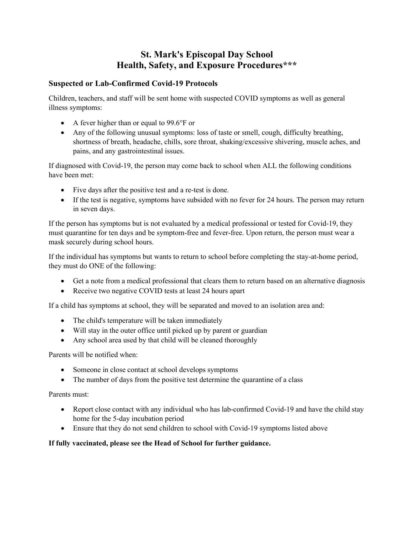# **St. Mark's Episcopal Day School Health, Safety, and Exposure Procedures\*\*\***

#### **Suspected or Lab-Confirmed Covid-19 Protocols**

Children, teachers, and staff will be sent home with suspected COVID symptoms as well as general illness symptoms:

- A fever higher than or equal to 99.6°F or
- Any of the following unusual symptoms: loss of taste or smell, cough, difficulty breathing, shortness of breath, headache, chills, sore throat, shaking/excessive shivering, muscle aches, and pains, and any gastrointestinal issues.

If diagnosed with Covid-19, the person may come back to school when ALL the following conditions have been met:

- Five days after the positive test and a re-test is done.
- If the test is negative, symptoms have subsided with no fever for 24 hours. The person may return in seven days.

If the person has symptoms but is not evaluated by a medical professional or tested for Covid-19, they must quarantine for ten days and be symptom-free and fever-free. Upon return, the person must wear a mask securely during school hours.

If the individual has symptoms but wants to return to school before completing the stay-at-home period, they must do ONE of the following:

- Get a note from a medical professional that clears them to return based on an alternative diagnosis
- Receive two negative COVID tests at least 24 hours apart

If a child has symptoms at school, they will be separated and moved to an isolation area and:

- The child's temperature will be taken immediately
- Will stay in the outer office until picked up by parent or guardian
- Any school area used by that child will be cleaned thoroughly

Parents will be notified when:

- Someone in close contact at school develops symptoms
- The number of days from the positive test determine the quarantine of a class

Parents must:

- Report close contact with any individual who has lab-confirmed Covid-19 and have the child stay home for the 5-day incubation period
- Ensure that they do not send children to school with Covid-19 symptoms listed above

#### **If fully vaccinated, please see the Head of School for further guidance.**